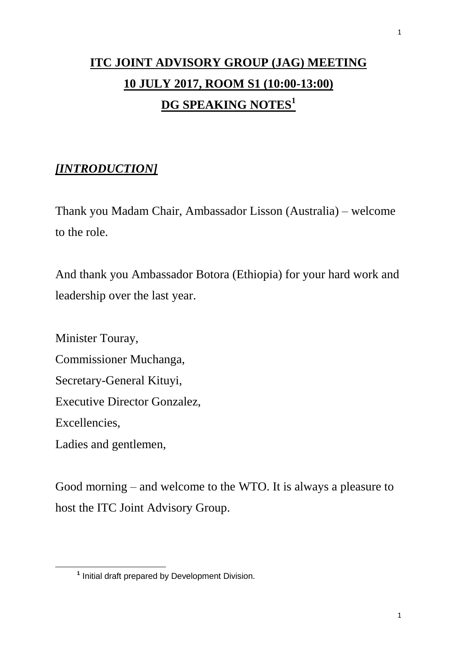# **ITC JOINT ADVISORY GROUP (JAG) MEETING 10 JULY 2017, ROOM S1 (10:00-13:00) DG SPEAKING NOTES<sup>1</sup>**

# *[INTRODUCTION]*

Thank you Madam Chair, Ambassador Lisson (Australia) – welcome to the role.

And thank you Ambassador Botora (Ethiopia) for your hard work and leadership over the last year.

Minister Touray, Commissioner Muchanga, Secretary-General Kituyi, Executive Director Gonzalez, Excellencies, Ladies and gentlemen,

 $\overline{a}$ 

Good morning – and welcome to the WTO. It is always a pleasure to host the ITC Joint Advisory Group.

**<sup>1</sup>** Initial draft prepared by Development Division.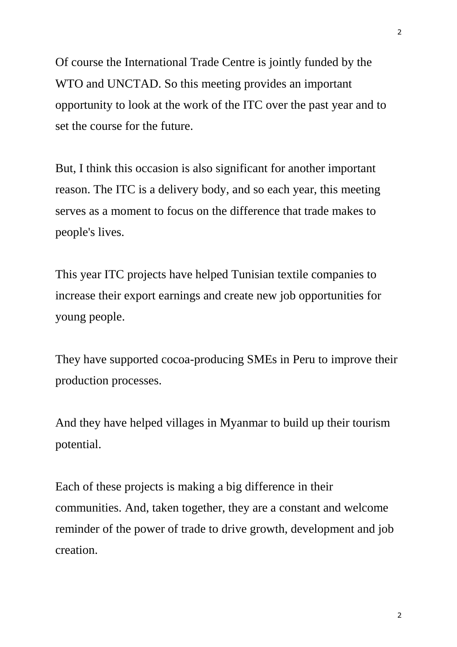Of course the International Trade Centre is jointly funded by the WTO and UNCTAD. So this meeting provides an important opportunity to look at the work of the ITC over the past year and to set the course for the future.

But, I think this occasion is also significant for another important reason. The ITC is a delivery body, and so each year, this meeting serves as a moment to focus on the difference that trade makes to people's lives.

This year ITC projects have helped Tunisian textile companies to increase their export earnings and create new job opportunities for young people.

They have supported cocoa-producing SMEs in Peru to improve their production processes.

And they have helped villages in Myanmar to build up their tourism potential.

Each of these projects is making a big difference in their communities. And, taken together, they are a constant and welcome reminder of the power of trade to drive growth, development and job creation.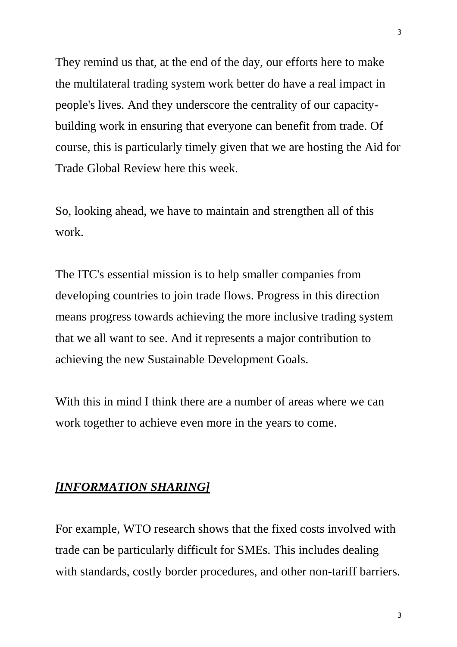They remind us that, at the end of the day, our efforts here to make the multilateral trading system work better do have a real impact in people's lives. And they underscore the centrality of our capacitybuilding work in ensuring that everyone can benefit from trade. Of course, this is particularly timely given that we are hosting the Aid for Trade Global Review here this week.

So, looking ahead, we have to maintain and strengthen all of this work.

The ITC's essential mission is to help smaller companies from developing countries to join trade flows. Progress in this direction means progress towards achieving the more inclusive trading system that we all want to see. And it represents a major contribution to achieving the new Sustainable Development Goals.

With this in mind I think there are a number of areas where we can work together to achieve even more in the years to come.

#### *[INFORMATION SHARING]*

For example, WTO research shows that the fixed costs involved with trade can be particularly difficult for SMEs. This includes dealing with standards, costly border procedures, and other non-tariff barriers.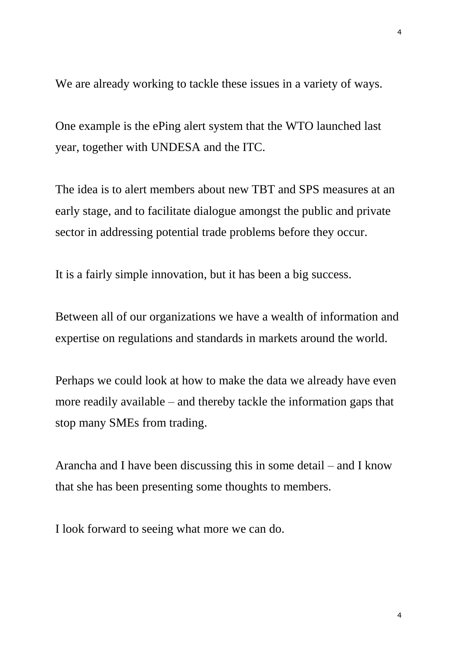We are already working to tackle these issues in a variety of ways.

One example is the ePing alert system that the WTO launched last year, together with UNDESA and the ITC.

The idea is to alert members about new TBT and SPS measures at an early stage, and to facilitate dialogue amongst the public and private sector in addressing potential trade problems before they occur.

It is a fairly simple innovation, but it has been a big success.

Between all of our organizations we have a wealth of information and expertise on regulations and standards in markets around the world.

Perhaps we could look at how to make the data we already have even more readily available – and thereby tackle the information gaps that stop many SMEs from trading.

Arancha and I have been discussing this in some detail – and I know that she has been presenting some thoughts to members.

I look forward to seeing what more we can do.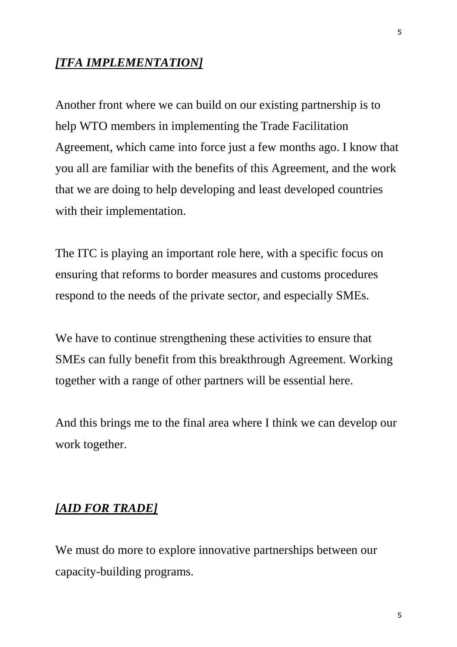#### *[TFA IMPLEMENTATION]*

Another front where we can build on our existing partnership is to help WTO members in implementing the Trade Facilitation Agreement, which came into force just a few months ago. I know that you all are familiar with the benefits of this Agreement, and the work that we are doing to help developing and least developed countries with their implementation.

The ITC is playing an important role here, with a specific focus on ensuring that reforms to border measures and customs procedures respond to the needs of the private sector, and especially SMEs.

We have to continue strengthening these activities to ensure that SMEs can fully benefit from this breakthrough Agreement. Working together with a range of other partners will be essential here.

And this brings me to the final area where I think we can develop our work together.

#### *[AID FOR TRADE]*

We must do more to explore innovative partnerships between our capacity-building programs.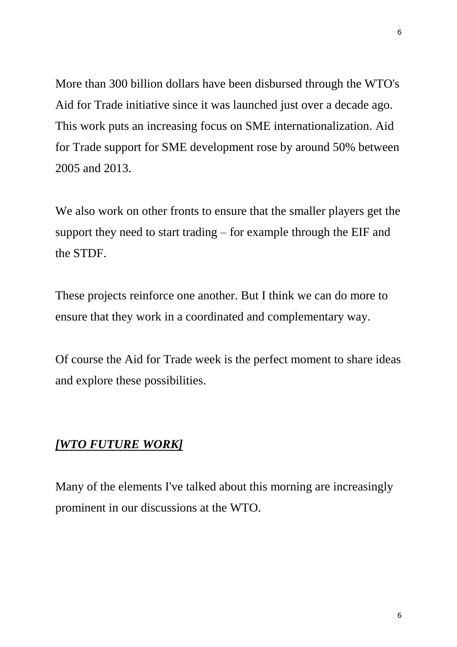More than 300 billion dollars have been disbursed through the WTO's Aid for Trade initiative since it was launched just over a decade ago. This work puts an increasing focus on SME internationalization. Aid for Trade support for SME development rose by around 50% between 2005 and 2013.

We also work on other fronts to ensure that the smaller players get the support they need to start trading – for example through the EIF and the STDF.

These projects reinforce one another. But I think we can do more to ensure that they work in a coordinated and complementary way.

Of course the Aid for Trade week is the perfect moment to share ideas and explore these possibilities.

## *[WTO FUTURE WORK]*

Many of the elements I've talked about this morning are increasingly prominent in our discussions at the WTO.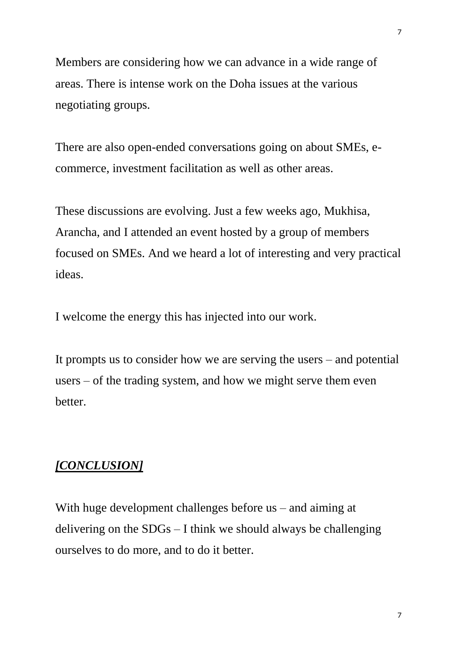Members are considering how we can advance in a wide range of areas. There is intense work on the Doha issues at the various negotiating groups.

There are also open-ended conversations going on about SMEs, ecommerce, investment facilitation as well as other areas.

These discussions are evolving. Just a few weeks ago, Mukhisa, Arancha, and I attended an event hosted by a group of members focused on SMEs. And we heard a lot of interesting and very practical ideas.

I welcome the energy this has injected into our work.

It prompts us to consider how we are serving the users – and potential users – of the trading system, and how we might serve them even better.

## *[CONCLUSION]*

With huge development challenges before us – and aiming at delivering on the SDGs – I think we should always be challenging ourselves to do more, and to do it better.